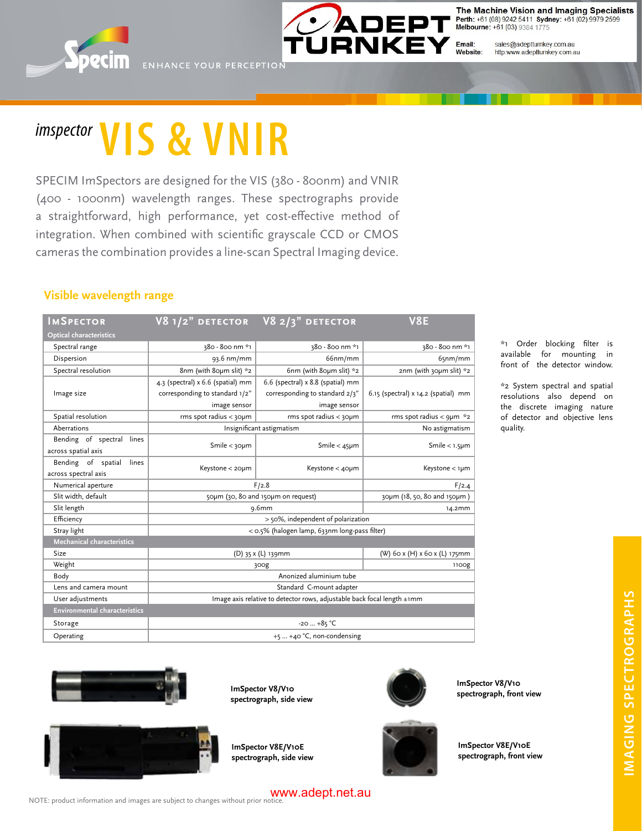



The Machine Vision and Imaging Specialists Perth: +61 (08) 9242 5411 Sydney: +61 (02) 9979 2599 Melbourne: +61 (03) 9384 1775

sales@adeptturnkey.com.au Website: http:www.adeptturnkey.com.au

# *imspector* **VIS & VNIR**

SPECIM ImSpectors are designed for the VIS (380 - 800nm) and VNIR (400 - 1000nm) wavelength ranges. These spectrographs provide a straightforward, high performance, yet cost-effective method of integration. When combined with scientific grayscale CCD or CMOS cameras the combination provides a line-scan Spectral Imaging device.

#### **Visible wavelength range**

| <b>IMSPECTOR</b>                     |                                                                         | V8 $1/2$ " DETECTOR V8 $2/3$ " DETECTOR | <b>V8E</b>                          |
|--------------------------------------|-------------------------------------------------------------------------|-----------------------------------------|-------------------------------------|
| <b>Optical characteristics</b>       |                                                                         |                                         |                                     |
| Spectral range                       | 380 - 800 nm *1                                                         | 380 - 800 nm *1                         | 380 - 800 nm *1                     |
| Dispersion                           | 93.6 nm/mm                                                              | 66nm/mm                                 | 65nm/mm                             |
| Spectral resolution                  | 8nm (with 80µm slit) *2                                                 | 6nm (with 80µm slit) *2                 | $2nm$ (with 30µm slit) $*2$         |
|                                      | 4.3 (spectral) x 6.6 (spatial) mm                                       | 6.6 (spectral) x 8.8 (spatial) mm       |                                     |
| Image size                           | corresponding to standard 1/2"                                          | corresponding to standard 2/3"          | 6.15 (spectral) x 14.2 (spatial) mm |
|                                      | image sensor                                                            | image sensor                            |                                     |
| Spatial resolution                   | rms spot radius $<$ 30 $\mu$ m                                          | $rms$ spot radius $<$ 30 $\mu$ m        | rms spot radius < $q\mu m *_{2}$    |
| Aberrations                          | Insignificant astigmatism                                               |                                         | No astigmatism                      |
| Bending of spectral lines            | Smile $<$ 30 $\mu$ m                                                    | Smile $<$ 45 $\mu$ m                    | Smile $<$ 1.5 $\mu$ m               |
| across spatial axis                  |                                                                         |                                         |                                     |
| Bending of spatial<br>lines          | Keystone < 20µm                                                         | Keystone < 40µm                         | Keystone < 1µm                      |
| across spectral axis                 |                                                                         |                                         |                                     |
| Numerical aperture                   | F/2.8                                                                   |                                         | F/2.4                               |
| Slit width, default                  | 50µm (30, 80 and 150µm on request)                                      |                                         | 30µm (18, 50, 80 and 150µm)         |
| Slit length                          | 9.6mm                                                                   |                                         | 14.2mm                              |
| Efficiency                           | > 50%, independent of polarization                                      |                                         |                                     |
| Stray light                          | < 0.5% (halogen lamp, 633nm long-pass filter)                           |                                         |                                     |
| <b>Mechanical characteristics</b>    |                                                                         |                                         |                                     |
| Size                                 | (D) 35 x (L) 139mm                                                      |                                         | (W) 60 x (H) x 60 x (L) 175mm       |
| Weight                               | 300g                                                                    |                                         | 1100g                               |
| Body                                 | Anonized aluminium tube                                                 |                                         |                                     |
| Lens and camera mount                | Standard C-mount adapter                                                |                                         |                                     |
| User adjustments                     | Image axis relative to detector rows, adjustable back focal length ±1mm |                                         |                                     |
| <b>Environmental characteristics</b> |                                                                         |                                         |                                     |
| Storage                              | $-20+85$ °C                                                             |                                         |                                     |
| Operating                            | $+5$ $+40$ °C, non-condensing                                           |                                         |                                     |

\*1 Order blocking filter is available for mounting in front of the detector window.

\*2 System spectral and spatial resolutions also depend on the discrete imaging nature of detector and objective lens quality.







**ImSpector V8/V10 spectrograph, front view**



**ImSpector V8E/V10E spectrograph, side view**



**ImSpector V8E/V10E spectrograph, front view**